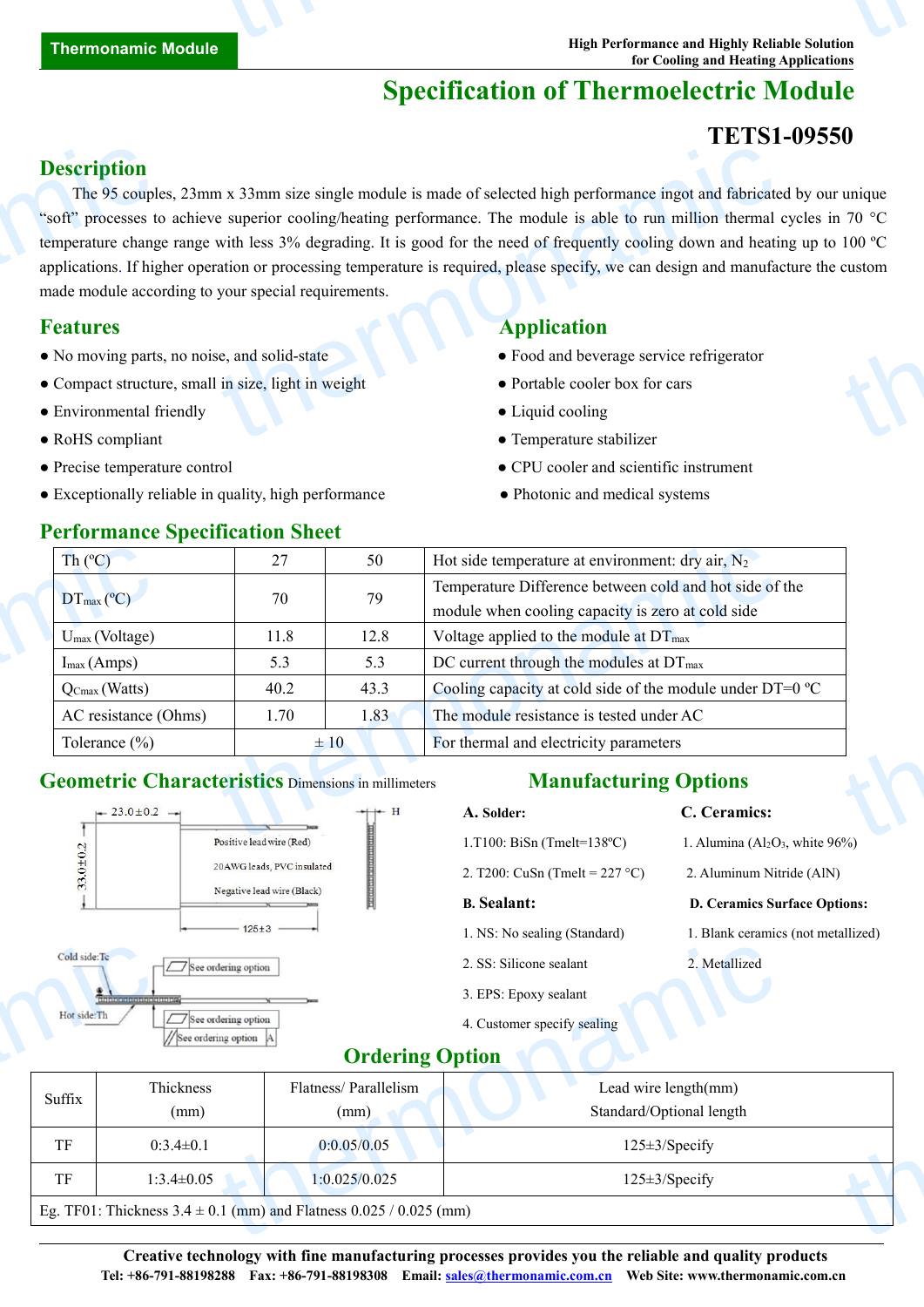# **Specification of Thermoelectric Module**

## **TETS1-09550**

#### **Description**

The 95 couples, 23mm x 33mm size single module is made of selected high performance ingot and fabricated by our unique "soft" processes to achieve superior cooling/heating performance. The module is able to run million thermal cycles in 70 °C temperature change range with less 3% degrading. It is good for the need of frequently cooling down and heating up to 100 ºC applications. If higher operation or processing temperature is required, please specify, we can design and manufacture the custom made module according to your special requirements. **Description**<br>The 95 couple<br>"soft" processes to<br>temperature chang<br>applications. If hig<br>made module acco<br>**Features**<br>• No moving parts<br>• Compact structu<br>• Environmental f THERM AND<br>
IN X 33mm size single module is made of selected high performance ingot and fabricate<br>
e superior cooling/heating performance. The module is able to run million thermal<br>
with less 3% degrading. It is good for th unique<br>  $170^\circ$ C<br>
custom<br>
custom<br>
custom

- No moving parts, no noise, and solid-state <br>• Food and beverage service refrigerator
- Compact structure, small in size, light in weight Portable cooler box for cars
- Environmental friendly <br>• Liquid cooling <br>• Liquid cooling <br>• Liquid cooling <br>• Liquid cooling <br>• Liquid cooling <br>• Liquid cooling <br>• Liquid cooling <br>• Liquid solid **in** the solution of the solution of the solution of th
- 
- 
- Exceptionally reliable in quality, high performance • • Photonic and medical systems

# **Features Application**

- 
- 
- 
- RoHS compliant Temperature stabilizer
- Precise temperature control CPU cooler and scientific instrument
	-

| Th $(C)$                                                   | 27                                                    | 50       | Hot side temperature at environment: dry air, $N_2$                         |
|------------------------------------------------------------|-------------------------------------------------------|----------|-----------------------------------------------------------------------------|
|                                                            | 70                                                    | 79       | Temperature Difference between cold and hot side of the                     |
| $DT_{\text{max}}$ (°C)                                     |                                                       |          | module when cooling capacity is zero at cold side                           |
| $U_{\text{max}}$ (Voltage)                                 | 11.8                                                  | 12.8     | Voltage applied to the module at $DT_{\text{max}}$                          |
| $I_{max}(Amps)$                                            | 5.3                                                   | 5.3      | DC current through the modules at $DT_{\text{max}}$                         |
| $Q_{Cmax}$ (Watts)                                         | 40.2                                                  | 43.3     | Cooling capacity at cold side of the module under $DT=0$ °C                 |
| AC resistance (Ohms)                                       | 1.70                                                  | 1.83     | The module resistance is tested under AC                                    |
| Tolerance $(\%)$                                           |                                                       | $\pm 10$ | For thermal and electricity parameters                                      |
| <b>Geometric Characteristics Dimensions in millimeters</b> |                                                       |          | <b>Manufacturing Options</b>                                                |
| $-23.0 \pm 0.2$ $-1$                                       |                                                       | $+ +$    | C. Ceramics:<br>A. Solder:                                                  |
|                                                            | $B_1$ , $A_2$ , $A_3$ , $A_4$ , $A_5$ , $B_6$ , $B_7$ |          | $1.7100$ D'O $/T = 1.1200$<br>$1 \times 1$ $(11 \times 11)$ $1 \times 0(0)$ |

#### **Geometric Characteristics** Dimensions in millimeters

#### **Manufacturing Options**

| $-23.0 \pm 0.2$ $-1$                 |                                            | $+$ H | A. Solder:                            | C. Ceramics:                         |
|--------------------------------------|--------------------------------------------|-------|---------------------------------------|--------------------------------------|
|                                      | Positive lead wire (Red)                   |       | 1.T100: BiSn (Tmelt= $138^{\circ}$ C) | 1. Alumina $(Al_2O_3$ , white $96\%$ |
| $33.0 \pm 0.2$                       | 20 AWG leads, PVC insulated                |       | 2. T200: CuSn (Tmelt = $227$ °C)      | 2. Aluminum Nitride (AlN)            |
|                                      | Negative lead wire (Black)                 |       | <b>B.</b> Sealant:                    | <b>D. Ceramics Surface Options:</b>  |
|                                      | $125 \pm 3$ -                              |       | 1. NS: No sealing (Standard)          | 1. Blank ceramics (not metallized)   |
| Cold side: Tc                        | See ordering option                        |       | 2. SS: Silicone sealant               | 2. Metallized                        |
| afololoj al atotololoj al atotoloj r |                                            |       | 3. EPS: Epoxy sealant                 |                                      |
| Hot side: Th                         | See ordering option<br>See ordering option |       | 4. Customer specify sealing           |                                      |
|                                      |                                            |       | $\sim$ $\sim$                         |                                      |

### **Ordering Option**

| Cold side:Tc<br>2. Metallized<br>2. SS: Silicone sealant<br>$\Box$ See ordering option<br>3. EPS: Epoxy sealant<br>ababate le de de babate (el el estado |  |
|----------------------------------------------------------------------------------------------------------------------------------------------------------|--|
|                                                                                                                                                          |  |
|                                                                                                                                                          |  |
| Hot side:Th<br>$\Box$ See ordering option<br>4. Customer specify sealing<br>$\overline{\phantom{a}}$<br>See ordering option A                            |  |
| <b>Ordering Option</b>                                                                                                                                   |  |
| Thickness<br>Flatness/Parallelism<br>Lead wire length(mm)<br>Suffix                                                                                      |  |
| Standard/Optional length<br>(mm)<br>(mm)                                                                                                                 |  |
| TF<br>$125 \pm 3$ /Specify<br>$0:3.4 \pm 0.1$<br>0:0.05/0.05                                                                                             |  |
| TF<br>$1:3.4 \pm 0.05$<br>1:0.025/0.025<br>125±3/Specify                                                                                                 |  |

**Creative technology with fine manufacturing processes provides you the reliable and quality products Tel: +86-791-88198288 Fax: +86-791-88198308 Email: [sales@thermonamic.com](mailto:sales@thermonamic.com).cn Web Site: www.thermonamic.com.cn**

#### **Performance Specification Sheet**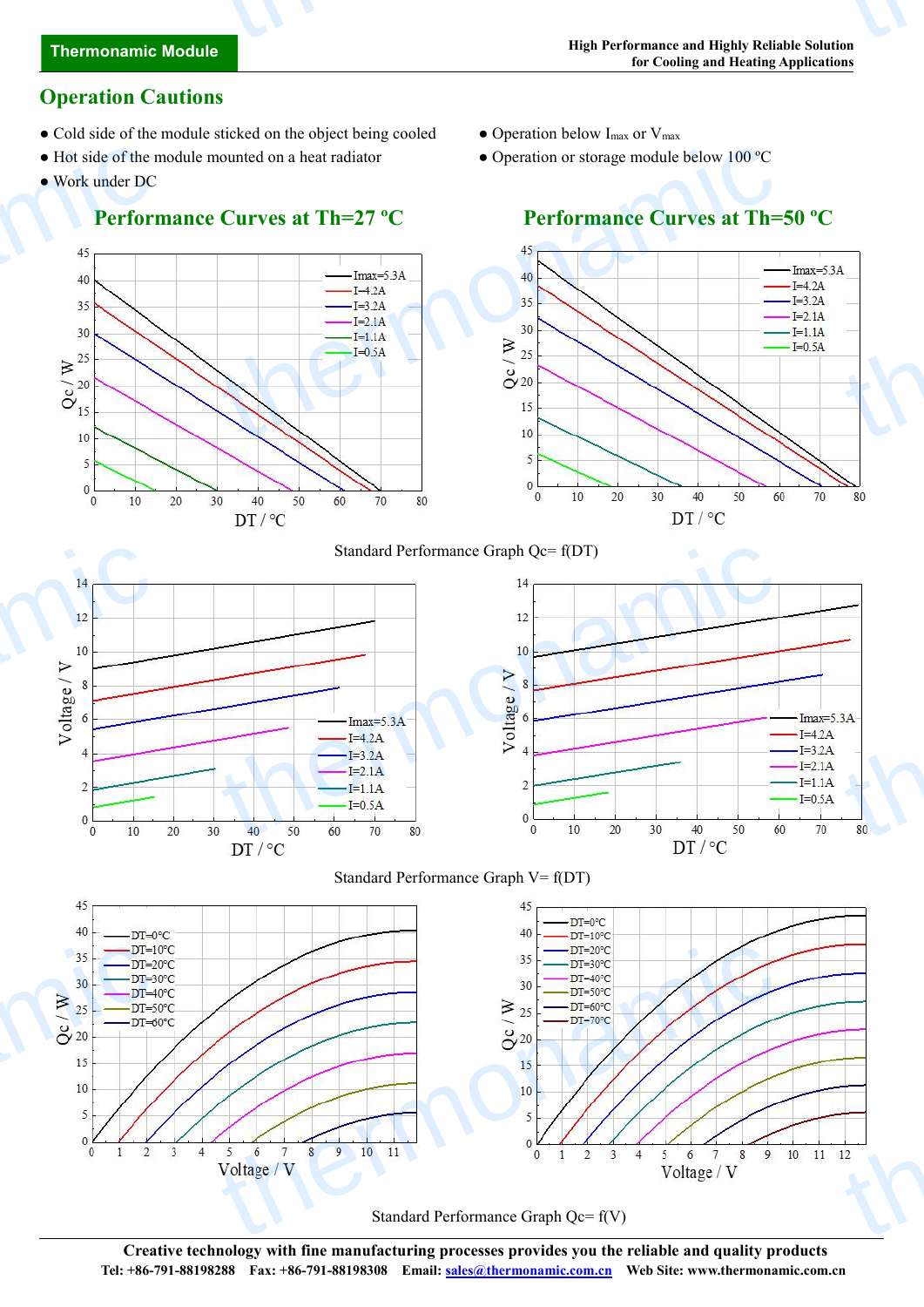# **Thermonamic Module** thermonamic

## **Operation Cautions**

- Cold side of the module sticked on the object being cooled Operation below I<sub>max</sub> or V<sub>max</sub>
- Hot side of the module mounted on a heat radiator Operation or storage module below 100 °C
- Work under DC

#### **Performance Curves at Th=27 ºC Performance Curves atTh=50 ºC**

- 
- 
- Hot side of the n<br>
 Work under DC<br>
Perform<br>
45<br>
46<br>
46<br>
35<br>
30<br>
32<br>
22<br>  $\frac{25}{15}$ <br>
10 nounted on a heat radiator<br>
Curves at Th=27 °C<br>  $\frac{1}{\sqrt{1.5}}$ <br>  $\frac{1}{\sqrt{1.5}}$ <br>  $\frac{1}{\sqrt{1.5}}$ <br>  $\frac{1}{\sqrt{1.5}}$ <br>  $\frac{1}{\sqrt{1.5}}$ <br>  $\frac{1}{\sqrt{1.5}}$ <br>  $\frac{1}{\sqrt{1.5}}$ <br>  $\frac{1}{\sqrt{1.5}}$ <br>  $\frac{1}{\sqrt{1.5}}$ <br>  $\frac{1}{\sqrt{1.5}}$ <br>  $\frac{1}{\sqrt{1.5}}$ thermonic contract of  $I=4.2A$  $I=3.2A$  $I=2.1A$  $-I=1.1A$  $I=0.5A$ 5  $\overline{5}$  $\overline{0}$  $\mathbf{0}$  $\mathbf 0$ 10 20 30 40 50 60 70 80  $\overline{0}$ 10  $\overline{20}$  $30$  $40$ 50 60 70 80  $DT / °C$  $DT/°C$ thermonamic thermonamic Standard Performance Graph Qc= f(DT)  $\begin{array}{c}\n1 \\
\hline\n\end{array}$  $I=4.2A$  $I=3.2A$  $I=2.1A$  $I=1.1A$  $I=0.5A$ 70 20 Standard Performance Graph V= f(DT) 45  $45$  $DT=0°C$  $40$  $40$  $DT=0^{\circ}C$  $DT=10^{\circ}C$  $\begin{array}{r}\n 35 \\
 30 \overline{)1} = 10 \\
 30 \overline{)1} = 20 \\
 25 \overline{)1} = -10 \\
 5 \overline{)1} = -60 \\
 10 \overline{)1} = 60 \\
 5 \overline{)0} = 12 \\
 10 \overline{)1} = 20 \\
 11 \overline{)2} = 20 \\
 12 \overline{)2} = 20 \\
 13 \overline{)2} = 20 \\
 14 \overline{)2} = 20 \\
 15 \overline{)2} = 20 \\
 16 \overline{)2} = 20 \\
 17 \overline{)2} = 20 \\$  $\begin{array}{r} \n\text{35} \\
\text{36} \\
\text{50} \\
\text{50} \\
\text{60} \\
\text{60} \\
\text{60} \\
\text{60} \\
\text{60} \\
\text{60} \\
\text{60} \\
\text{60} \\
\text{60} \\
\text{60} \\
\text{60} \\
\text{60} \\
\text{60} \\
\text{60} \\
\text{60} \\
\text{60} \\
\text{60} \\
\text{60} \\
\text{60} \\
\text{60} \\
\text{60} \\
\text{60} \\
\text{60} \\
\text{60} \\
\text{60} \\
\text{60} \\
\$ the thermonal contract of the contract of the contract of the contract of the contract of the contract of the contract of the contract of the contract of the contract of the contract of the contract of the contract of the 3  $\overline{4}$  $10\,$ 11

Standard Performance Graph Qc= f(V)

**Creative technology with fine manufacturing processes provides you the reliable and quality products Tel: +86-791-88198288 Fax: +86-791-88198308 Email: [sales@thermonamic.com](mailto:sales@thermonamic.com).cn Web Site: www.thermonamic.com.cn**